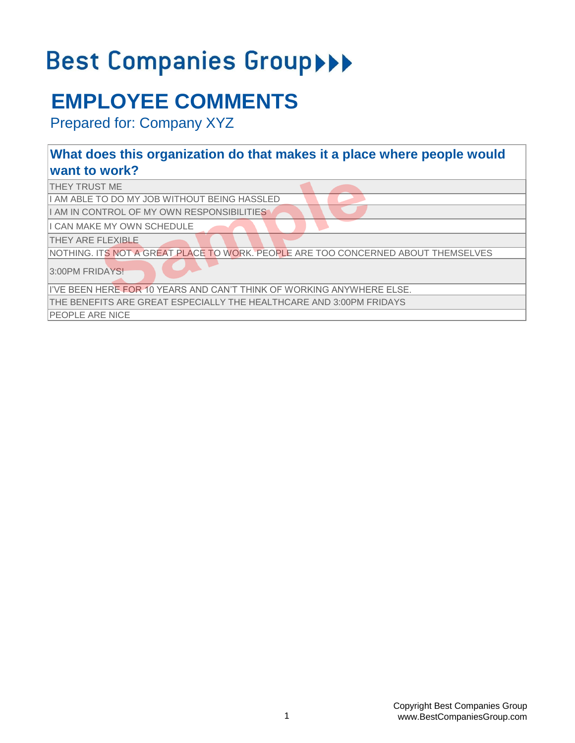# Best Companies Group>>>

## **EMPLOYEE COMMENTS**

Prepared for: Company XYZ

#### **What does this organization do that makes it a place where people would want to work?**

| <b>ITHEY TRUST ME</b>                                                             |
|-----------------------------------------------------------------------------------|
| II AM ABLE TO DO MY JOB WITHOUT BEING HASSLED                                     |
| II AM IN CONTROL OF MY OWN RESPONSIBILITIES                                       |
| II CAN MAKE MY OWN SCHEDULE                                                       |
| <b>THEY ARE FLEXIBLE</b>                                                          |
| NOTHING. ITS NOT A GREAT PLACE TO WORK. PEOPLE ARE TOO CONCERNED ABOUT THEMSELVES |
| 3:00PM FRIDAYS!                                                                   |
| II'VE BEEN HERE FOR 10 YEARS AND CAN'T THINK OF WORKING ANYWHERE ELSE.            |
| THE BENEFITS ARE GREAT ESPECIALLY THE HEALTHCARE AND 3:00PM FRIDAYS               |

PEOPLE ARE NICE